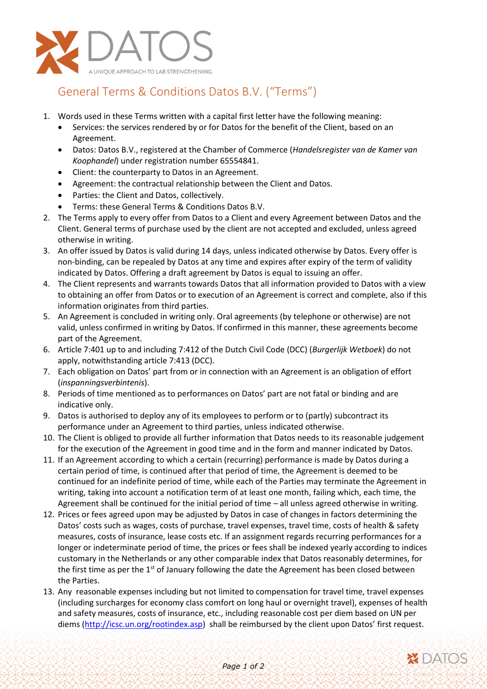

## General Terms & Conditions Datos B.V. ("Terms")

- 1. Words used in these Terms written with a capital first letter have the following meaning:
	- Services: the services rendered by or for Datos for the benefit of the Client, based on an Agreement.
	- Datos: Datos B.V., registered at the Chamber of Commerce (*Handelsregister van de Kamer van Koophandel*) under registration number 65554841.
	- Client: the counterparty to Datos in an Agreement.
	- Agreement: the contractual relationship between the Client and Datos.
	- Parties: the Client and Datos, collectively.
	- Terms: these General Terms & Conditions Datos B.V.
- 2. The Terms apply to every offer from Datos to a Client and every Agreement between Datos and the Client. General terms of purchase used by the client are not accepted and excluded, unless agreed otherwise in writing.
- 3. An offer issued by Datos is valid during 14 days, unless indicated otherwise by Datos. Every offer is non-binding, can be repealed by Datos at any time and expires after expiry of the term of validity indicated by Datos. Offering a draft agreement by Datos is equal to issuing an offer.
- 4. The Client represents and warrants towards Datos that all information provided to Datos with a view to obtaining an offer from Datos or to execution of an Agreement is correct and complete, also if this information originates from third parties.
- 5. An Agreement is concluded in writing only. Oral agreements (by telephone or otherwise) are not valid, unless confirmed in writing by Datos. If confirmed in this manner, these agreements become part of the Agreement.
- 6. Article 7:401 up to and including 7:412 of the Dutch Civil Code (DCC) (*Burgerlijk Wetboek*) do not apply, notwithstanding article 7:413 (DCC).
- 7. Each obligation on Datos' part from or in connection with an Agreement is an obligation of effort (*inspanningsverbintenis*).
- 8. Periods of time mentioned as to performances on Datos' part are not fatal or binding and are indicative only.
- 9. Datos is authorised to deploy any of its employees to perform or to (partly) subcontract its performance under an Agreement to third parties, unless indicated otherwise.
- 10. The Client is obliged to provide all further information that Datos needs to its reasonable judgement for the execution of the Agreement in good time and in the form and manner indicated by Datos.
- 11. If an Agreement according to which a certain (recurring) performance is made by Datos during a certain period of time, is continued after that period of time, the Agreement is deemed to be continued for an indefinite period of time, while each of the Parties may terminate the Agreement in writing, taking into account a notification term of at least one month, failing which, each time, the Agreement shall be continued for the initial period of time – all unless agreed otherwise in writing.
- 12. Prices or fees agreed upon may be adjusted by Datos in case of changes in factors determining the Datos' costs such as wages, costs of purchase, travel expenses, travel time, costs of health & safety measures, costs of insurance, lease costs etc. If an assignment regards recurring performances for a longer or indeterminate period of time, the prices or fees shall be indexed yearly according to indices customary in the Netherlands or any other comparable index that Datos reasonably determines, for the first time as per the 1<sup>st</sup> of January following the date the Agreement has been closed between the Parties.
- 13. Any reasonable expenses including but not limited to compensation for travel time, travel expenses (including surcharges for economy class comfort on long haul or overnight travel), expenses of health and safety measures, costs of insurance, etc., including reasonable cost per diem based on UN per diems [\(http://icsc.un.org/rootindex.asp\)](http://icsc.un.org/rootindex.asp) shall be reimbursed by the client upon Datos' first request.